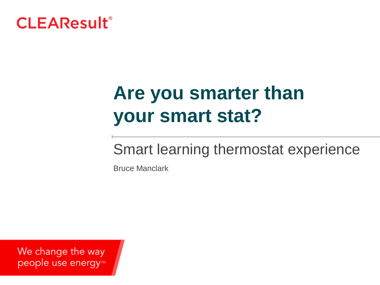

# **Are you smarter than your smart stat?**

### Smart learning thermostat experience

Bruce Manclark

We change the way people use energy<sup>™</sup>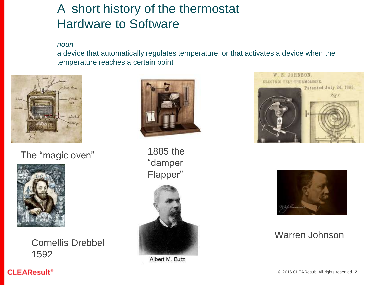### A short history of the thermostat Hardware to Software

*noun*

a device that automatically regulates temperature, or that activates a device when the temperature reaches a certain point



The "magic oven"



Cornellis Drebbel 1592



1885 the "damper Flapper"



Albert M. Butz





### Warren Johnson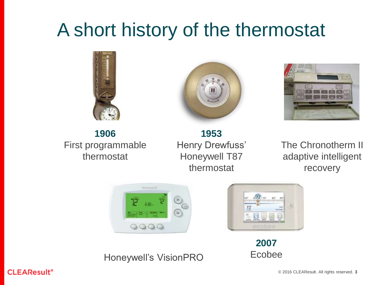# A short history of the thermostat







**1906** First programmable thermostat

**1953** Henry Drewfuss' Honeywell T87 thermostat

The Chronotherm II adaptive intelligent recovery





**2007** Ecobee

Honeywell's VisionPRO

#### **CLEAResult<sup>®</sup>**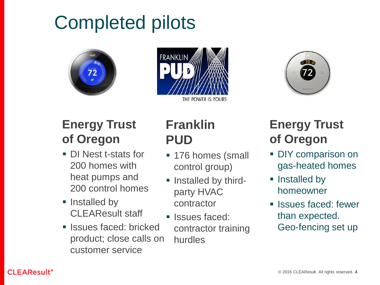# Completed pilots







### **Energy Trust of Oregon**

- DI Nest t-stats for 200 homes with heat pumps and 200 control homes
- Installed by CLEAResult staff
- **In Issues faced: bricked** product; close calls on customer service

### **Franklin PUD**

- **176 homes (small** control group)
- **Installed by third**party HVAC contractor
- **Issues faced:** contractor training hurdles

### **Energy Trust of Oregon**

- DIY comparison on gas-heated homes
- Installed by homeowner
- **Issues faced: fewer** than expected. Geo-fencing set up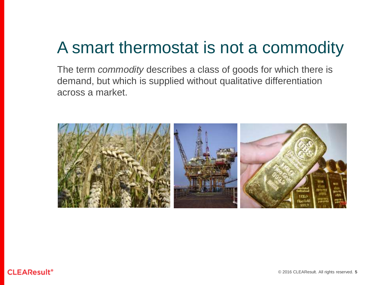### A smart thermostat is not a commodity

The term *commodity* describes a class of goods for which there is demand, but which is supplied without qualitative differentiation across a market.

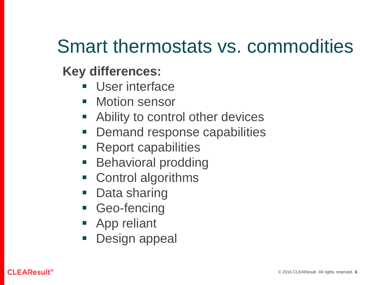### Smart thermostats vs. commodities

### **Key differences:**

- **User interface**
- Motion sensor
- **Ability to control other devices**
- Demand response capabilities
- Report capabilities
- **Behavioral prodding**
- Control algorithms
- Data sharing
- **Geo-fencing**
- **App reliant**
- **Design appeal**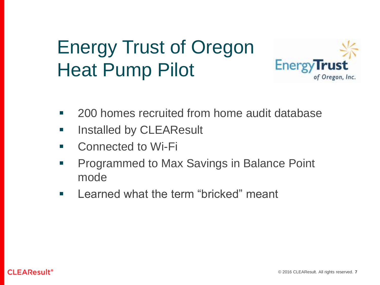## Energy Trust of Oregon Heat Pump Pilot



- **200 homes recruited from home audit database**
- **If** Installed by CLEAResult
- **E** Connected to Wi-Fi
- **Programmed to Max Savings in Balance Point** mode
- **EXEC** Learned what the term "bricked" meant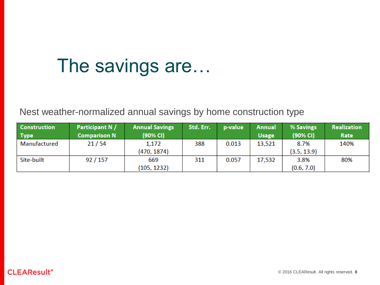## The savings are…

Nest weather-normalized annual savings by home construction type

| <b>Construction</b><br><b>Type</b> | Participant N /<br><b>Comparison N</b> | <b>Annual Savings</b><br>(90% CI) | Std. Err. | p-value | <b>Annual</b><br><b>Usage</b> | % Savings<br>(90% CI) | <b>Realization</b><br>Rate |
|------------------------------------|----------------------------------------|-----------------------------------|-----------|---------|-------------------------------|-----------------------|----------------------------|
| Manufactured                       | 21/54                                  | 1,172                             | 388       | 0.013   | 13,521                        | 8.7%                  | 140%                       |
|                                    |                                        | (470, 1874)                       |           |         |                               | (3.5, 13.9)           |                            |
| Site-built                         | 92/157                                 | 669                               | 311       | 0.057   | 17,532                        | 3.8%                  | 80%                        |
|                                    |                                        | (105, 1232)                       |           |         |                               | (0.6, 7.0)            |                            |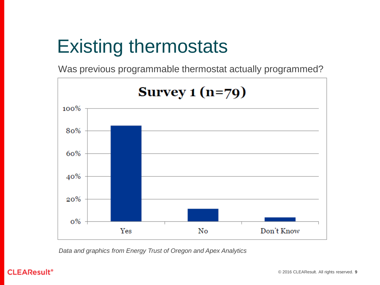## Existing thermostats

Was previous programmable thermostat actually programmed?



*Data and graphics from Energy Trust of Oregon and Apex Analytics*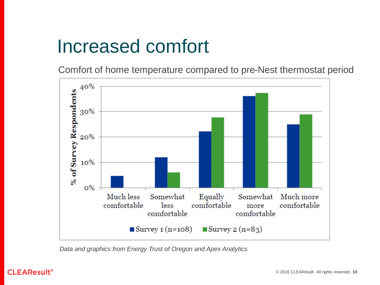### Increased comfort

Comfort of home temperature compared to pre-Nest thermostat period



*Data and graphics from Energy Trust of Oregon and Apex Analytics*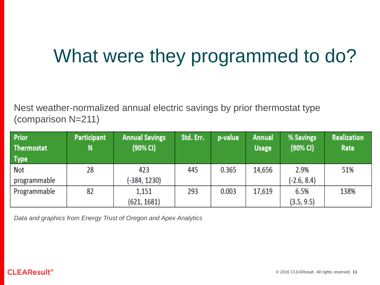## What were they programmed to do?

Nest weather-normalized annual electric savings by prior thermostat type (comparison N=211)

| <b>Prior</b><br><b>Thermostat</b><br><b>Type</b> | Participant<br>N | <b>Annual Savings</b><br>(90% CI) | Std. Err. | p-value | <b>Annual</b><br><b>Usage</b> | % Savings<br>(90% CI) | <b>Realization</b><br>Rate |
|--------------------------------------------------|------------------|-----------------------------------|-----------|---------|-------------------------------|-----------------------|----------------------------|
| Not                                              | 28               | 423                               | 445       | 0.365   | 14,656                        | 2.9%                  | 51%                        |
| programmable                                     |                  | $-384, 1230$                      |           |         |                               | $(-2.6, 8.4)$         |                            |
| Programmable                                     | 82               | 1,151                             | 293       | 0.003   | 17,619                        | 6.5%                  | 138%                       |
|                                                  |                  | (621, 1681)                       |           |         |                               | (3.5, 9.5)            |                            |

*Data and graphics from Energy Trust of Oregon and Apex Analytics*

#### **CLEAResult<sup>®</sup>**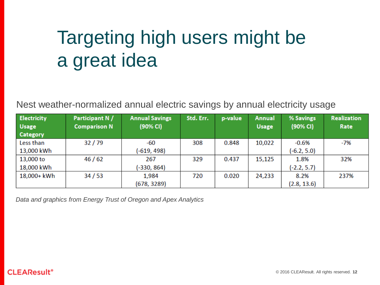# Targeting high users might be a great idea

Nest weather-normalized annual electric savings by annual electricity usage

| <b>Electricity</b> | Participant N /     | <b>Annual Savings</b> | Std. Err. | p-value | <b>Annual</b> | % Savings     | <b>Realization</b> |
|--------------------|---------------------|-----------------------|-----------|---------|---------------|---------------|--------------------|
| <b>Usage</b>       | <b>Comparison N</b> | (90% CI)              |           |         | <b>Usage</b>  | (90% CI)      | Rate               |
| <b>Category</b>    |                     |                       |           |         |               |               |                    |
| Less than          | 32/79               | -60                   | 308       | 0.848   | 10,022        | $-0.6%$       | -7%                |
| 13,000 kWh         |                     | $(-619, 498)$         |           |         |               | $(-6.2, 5.0)$ |                    |
| 13,000 to          | 46/62               | 267                   | 329       | 0.437   | 15,125        | 1.8%          | 32%                |
| 18,000 kWh         |                     | (-330, 864)           |           |         |               | $(-2.2, 5.7)$ |                    |
| 18,000+ kWh        | 34/53               | 1,984                 | 720       | 0.020   | 24,233        | 8.2%          | 237%               |
|                    |                     | (678, 3289)           |           |         |               | (2.8, 13.6)   |                    |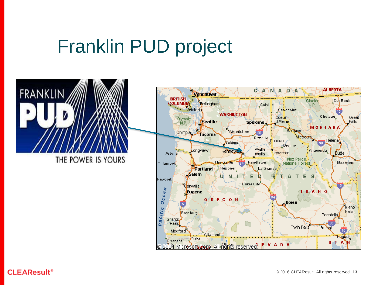## Franklin PUD project



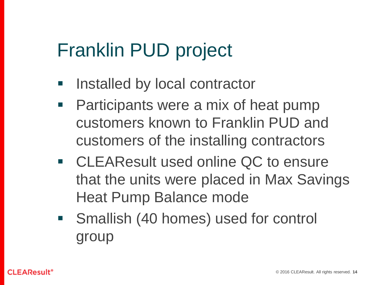### Franklin PUD project

- **If** Installed by local contractor
- Participants were a mix of heat pump customers known to Franklin PUD and customers of the installing contractors
- CLEAResult used online QC to ensure that the units were placed in Max Savings Heat Pump Balance mode
- **Smallish (40 homes) used for control** group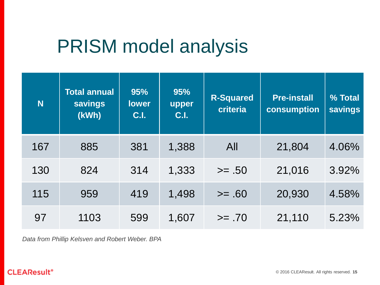### PRISM model analysis

| N <sub>1</sub> | <b>Total annual</b><br><b>savings</b><br>(kWh) | 95%<br><b>lower</b><br>C.I. | 95%<br>upper<br>C.I. | <b>R-Squared</b><br>criteria | <b>Pre-install</b><br>consumption | % Total<br><b>savings</b> |
|----------------|------------------------------------------------|-----------------------------|----------------------|------------------------------|-----------------------------------|---------------------------|
| 167            | 885                                            | 381                         | 1,388                | All                          | 21,804                            | 4.06%                     |
| 130            | 824                                            | 314                         | 1,333                | $>= .50$                     | 21,016                            | 3.92%                     |
| 115            | 959                                            | 419                         | 1,498                | $>= 60$                      | 20,930                            | 4.58%                     |
| 97             | 1103                                           | 599                         | 1,607                | $>= .70$                     | 21,110                            | 5.23%                     |

*Data from Phillip Kelsven and Robert Weber. BPA*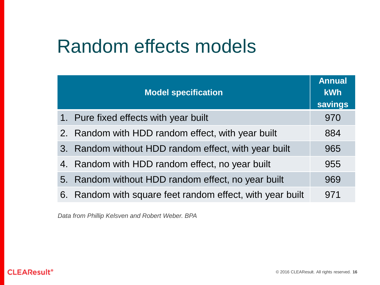### Random effects models

| <b>Model specification</b>                                | <b>Annual</b><br><b>kWh</b><br>savings |
|-----------------------------------------------------------|----------------------------------------|
| 1. Pure fixed effects with year built                     | 970                                    |
| 2. Random with HDD random effect, with year built         | 884                                    |
| 3. Random without HDD random effect, with year built      | 965                                    |
| 4. Random with HDD random effect, no year built           | 955                                    |
| 5. Random without HDD random effect, no year built        | 969                                    |
| 6. Random with square feet random effect, with year built | 971                                    |

*Data from Phillip Kelsven and Robert Weber. BPA*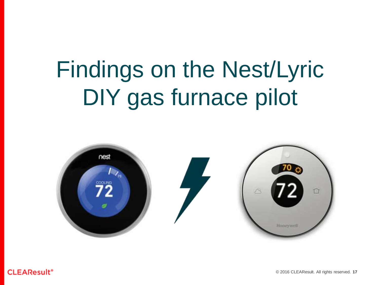# Findings on the Nest/Lyric DIY gas furnace pilot



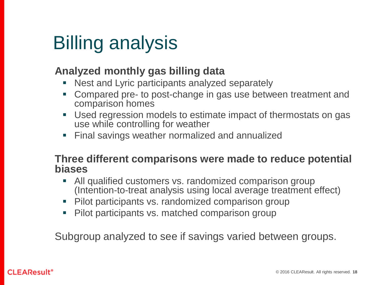## Billing analysis

### **Analyzed monthly gas billing data**

- Nest and Lyric participants analyzed separately
- Compared pre- to post-change in gas use between treatment and comparison homes
- Used regression models to estimate impact of thermostats on gas use while controlling for weather
- **Final savings weather normalized and annualized**

### **Three different comparisons were made to reduce potential biases**

- All qualified customers vs. randomized comparison group (Intention-to-treat analysis using local average treatment effect)
- **Pilot participants vs. randomized comparison group**
- Pilot participants vs. matched comparison group

Subgroup analyzed to see if savings varied between groups.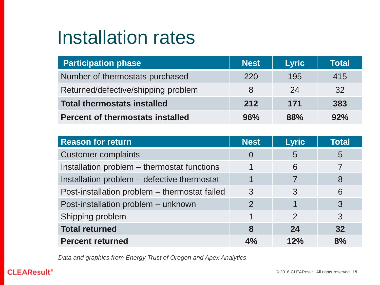### Installation rates

| <b>Participation phase</b>              | <b>Nest</b> | <b>Lyric</b> | Total |
|-----------------------------------------|-------------|--------------|-------|
| Number of thermostats purchased         | 220         | 195          | 415   |
| Returned/defective/shipping problem     | 8           | 24           | 32    |
| <b>Total thermostats installed</b>      | 212         | 171          | 383   |
| <b>Percent of thermostats installed</b> | 96%         | 88%          | 92%   |

| <b>Reason for return</b>                      | <b>Nest</b>    | <b>Lyric</b>  | <b>Total</b> |
|-----------------------------------------------|----------------|---------------|--------------|
| <b>Customer complaints</b>                    | $\overline{0}$ | 5             | 5            |
| Installation problem - thermostat functions   |                | 6             |              |
| Installation problem – defective thermostat   |                |               | 8            |
| Post-installation problem - thermostat failed | 3              | 3             | 6            |
| Post-installation problem - unknown           | 2              |               | 3            |
| Shipping problem                              |                | $\mathcal{P}$ | 3            |
| <b>Total returned</b>                         | 8              | 24            | 32           |
| <b>Percent returned</b>                       | 4%             | 12%           | 8%           |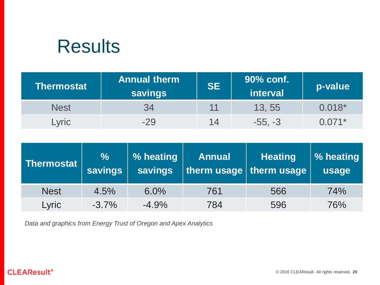### **Results**

| <b>Thermostat</b> | <b>Annual therm</b><br><b>savings</b> | <b>SE</b> | 90% conf.<br>interval | p-value  |
|-------------------|---------------------------------------|-----------|-----------------------|----------|
| <b>Nest</b>       | 34                                    | 11        | 13, 55                | $0.018*$ |
| <b>Lyric</b>      | $-29$                                 | 14        | $-55, -3$             | $0.071*$ |

| <b>Thermostat</b> | $\%$<br><b>savings</b> | % heating<br><b>savings</b> | <b>Annual</b> | <b>Heating</b><br>therm usage therm usage | <b>1% heating</b><br>usage |
|-------------------|------------------------|-----------------------------|---------------|-------------------------------------------|----------------------------|
| <b>Nest</b>       | 4.5%                   | 6.0%                        | 761           | 566                                       | 74%                        |
| Lyric             | $-3.7\%$               | $-4.9%$                     | 784           | 596                                       | 76%                        |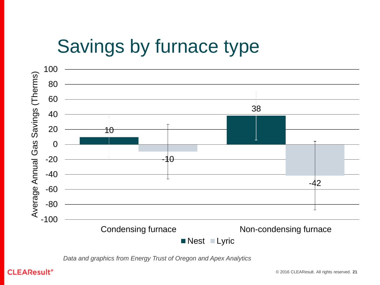## Savings by furnace type

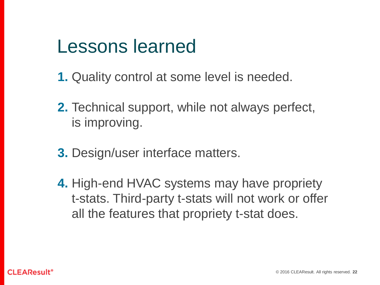### Lessons learned

- **1.** Quality control at some level is needed.
- **2.** Technical support, while not always perfect, is improving.
- **3.** Design/user interface matters.
- **4.** High-end HVAC systems may have propriety t-stats. Third-party t-stats will not work or offer all the features that propriety t-stat does.